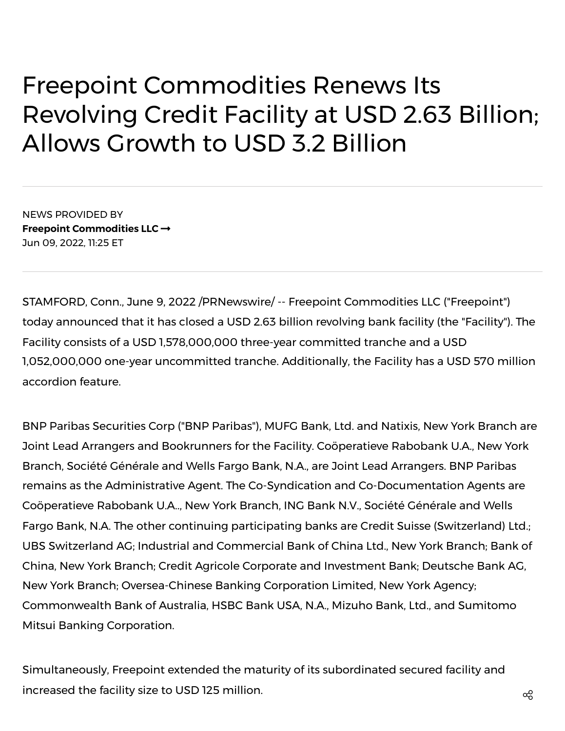## Freepoint Commodities Renews Its Revolving Credit Facility at USD 2.63 Billion; Allows Growth to USD 3.2 Billion

NEWS PROVIDED BY **Freepoint [Commodities](https://www.prnewswire.com/news/freepoint-commodities-llc/) LLC** Jun 09, 2022, 11:25 ET

STAMFORD, Conn., June 9, 2022 /PRNewswire/ -- Freepoint Commodities LLC ("Freepoint") today announced that it has closed a USD 2.63 billion revolving bank facility (the "Facility"). The Facility consists of a USD 1,578,000,000 three-year committed tranche and a USD 1,052,000,000 one-year uncommitted tranche. Additionally, the Facility has a USD 570 million accordion feature.

BNP Paribas Securities Corp ("BNP Paribas"), MUFG Bank, Ltd. and Natixis, New York Branch are Joint Lead Arrangers and Bookrunners for the Facility. Coöperatieve Rabobank U.A., New York Branch, Société Générale and Wells Fargo Bank, N.A., are Joint Lead Arrangers. BNP Paribas remains as the Administrative Agent. The Co-Syndication and Co-Documentation Agents are Coöperatieve Rabobank U.A.., New York Branch, ING Bank N.V., Société Générale and Wells Fargo Bank, N.A. The other continuing participating banks are Credit Suisse (Switzerland) Ltd.; UBS Switzerland AG; Industrial and Commercial Bank of China Ltd., New York Branch; Bank of China, New York Branch; Credit Agricole Corporate and Investment Bank; Deutsche Bank AG, New York Branch; Oversea-Chinese Banking Corporation Limited, New York Agency; Commonwealth Bank of Australia, HSBC Bank USA, N.A., Mizuho Bank, Ltd., and Sumitomo Mitsui Banking Corporation.

Simultaneously, Freepoint extended the maturity of its subordinated secured facility and increased the facility size to USD 125 million.  $\alpha_0^2$